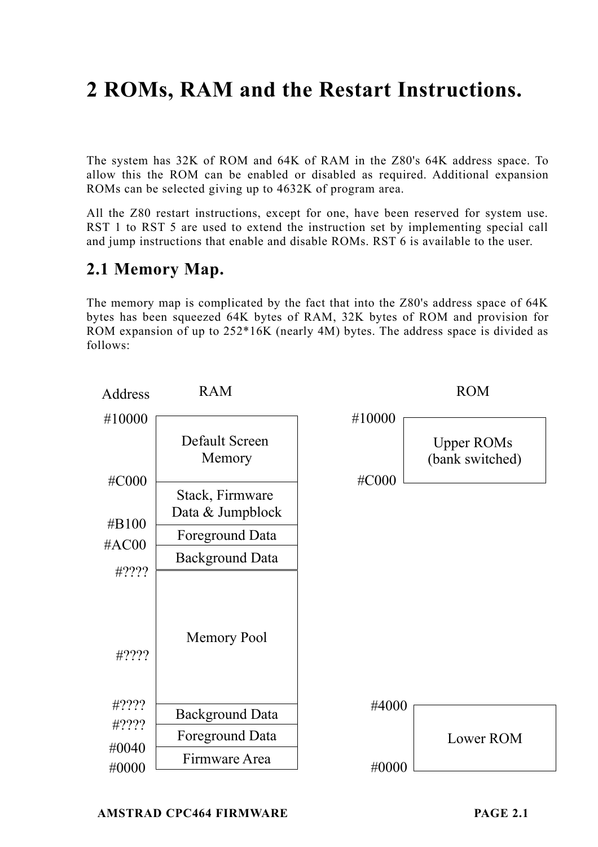# **2 ROMs, RAM and the Restart Instructions.**

The system has 32K of ROM and 64K of RAM in the Z80's 64K address space. To allow this the ROM can be enabled or disabled as required. Additional expansion ROMs can be selected giving up to 4632K of program area.

All the Z80 restart instructions, except for one, have been reserved for system use. RST 1 to RST 5 are used to extend the instruction set by implementing special call and jump instructions that enable and disable ROMs. RST 6 is available to the user.

# **2.1 Memory Map.**

The memory map is complicated by the fact that into the Z80's address space of 64K bytes has been squeezed 64K bytes of RAM, 32K bytes of ROM and provision for ROM expansion of up to 252\*16K (nearly 4M) bytes. The address space is divided as follows:

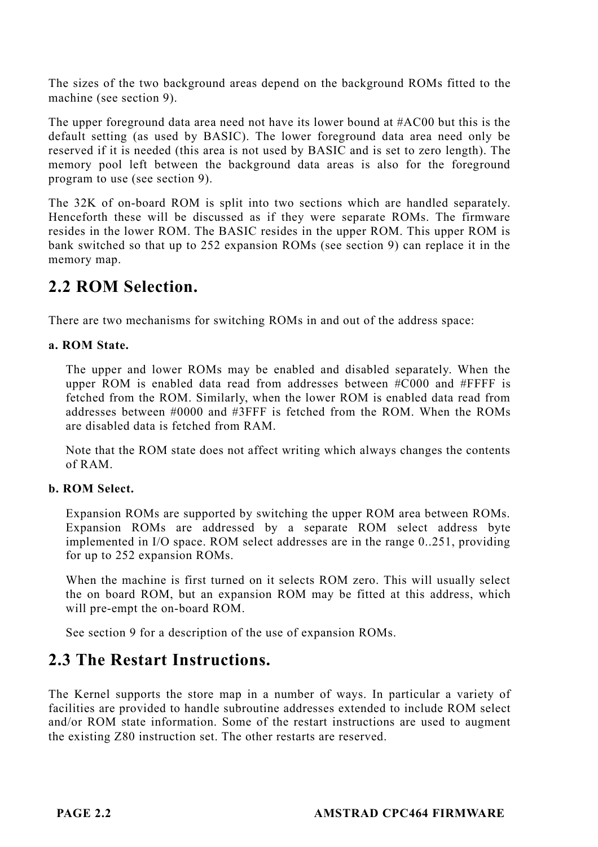The sizes of the two background areas depend on the background ROMs fitted to the machine (see section 9).

The upper foreground data area need not have its lower bound at #AC00 but this is the default setting (as used by BASIC). The lower foreground data area need only be reserved if it is needed (this area is not used by BASIC and is set to zero length). The memory pool left between the background data areas is also for the foreground program to use (see section 9).

The 32K of on-board ROM is split into two sections which are handled separately. Henceforth these will be discussed as if they were separate ROMs. The firmware resides in the lower ROM. The BASIC resides in the upper ROM. This upper ROM is bank switched so that up to 252 expansion ROMs (see section 9) can replace it in the memory map.

# **2.2 ROM Selection.**

There are two mechanisms for switching ROMs in and out of the address space:

## **a. ROM State.**

The upper and lower ROMs may be enabled and disabled separately. When the upper ROM is enabled data read from addresses between #C000 and #FFFF is fetched from the ROM. Similarly, when the lower ROM is enabled data read from addresses between #0000 and #3FFF is fetched from the ROM. When the ROMs are disabled data is fetched from RAM.

Note that the ROM state does not affect writing which always changes the contents of RAM.

## **b. ROM Select.**

Expansion ROMs are supported by switching the upper ROM area between ROMs. Expansion ROMs are addressed by a separate ROM select address byte implemented in I/O space. ROM select addresses are in the range 0..251, providing for up to 252 expansion ROMs.

When the machine is first turned on it selects ROM zero. This will usually select the on board ROM, but an expansion ROM may be fitted at this address, which will pre-empt the on-board ROM.

See section 9 for a description of the use of expansion ROMs.

# **2.3 The Restart Instructions.**

The Kernel supports the store map in a number of ways. In particular a variety of facilities are provided to handle subroutine addresses extended to include ROM select and/or ROM state information. Some of the restart instructions are used to augment the existing Z80 instruction set. The other restarts are reserved.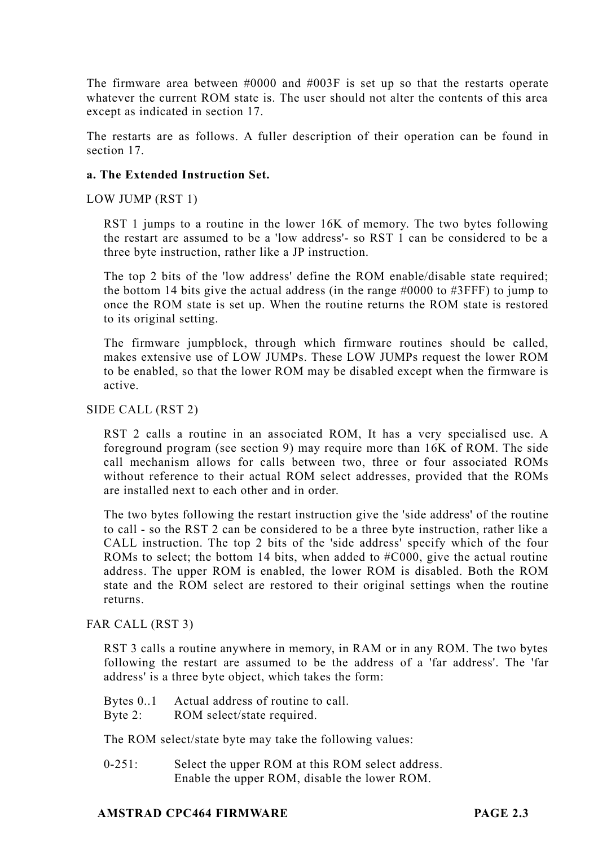The firmware area between #0000 and #003F is set up so that the restarts operate whatever the current ROM state is. The user should not alter the contents of this area except as indicated in section 17.

The restarts are as follows. A fuller description of their operation can be found in section 17.

## **a. The Extended Instruction Set.**

LOW JUMP (RST 1)

RST 1 jumps to a routine in the lower 16K of memory. The two bytes following the restart are assumed to be a 'low address'- so RST 1 can be considered to be a three byte instruction, rather like a JP instruction.

The top 2 bits of the 'low address' define the ROM enable/disable state required; the bottom 14 bits give the actual address (in the range  $\#0000$  to  $\#3$ FFF) to jump to once the ROM state is set up. When the routine returns the ROM state is restored to its original setting.

The firmware jumpblock, through which firmware routines should be called, makes extensive use of LOW JUMPs. These LOW JUMPs request the lower ROM to be enabled, so that the lower ROM may be disabled except when the firmware is active.

SIDE CALL (RST 2)

RST 2 calls a routine in an associated ROM, It has a very specialised use. A foreground program (see section 9) may require more than 16K of ROM. The side call mechanism allows for calls between two, three or four associated ROMs without reference to their actual ROM select addresses, provided that the ROMs are installed next to each other and in order.

The two bytes following the restart instruction give the 'side address' of the routine to call - so the RST 2 can be considered to be a three byte instruction, rather like a CALL instruction. The top 2 bits of the 'side address' specify which of the four ROMs to select; the bottom 14 bits, when added to  $\#C000$ , give the actual routine address. The upper ROM is enabled, the lower ROM is disabled. Both the ROM state and the ROM select are restored to their original settings when the routine returns.

FAR CALL (RST 3)

RST 3 calls a routine anywhere in memory, in RAM or in any ROM. The two bytes following the restart are assumed to be the address of a 'far address'. The 'far address' is a three byte object, which takes the form:

Bytes 0..1 Actual address of routine to call.

Byte 2: ROM select/state required.

The ROM select/state byte may take the following values:

0-251: Select the upper ROM at this ROM select address. Enable the upper ROM, disable the lower ROM.

#### **AMSTRAD CPC464 FIRMWARE PAGE 2.3**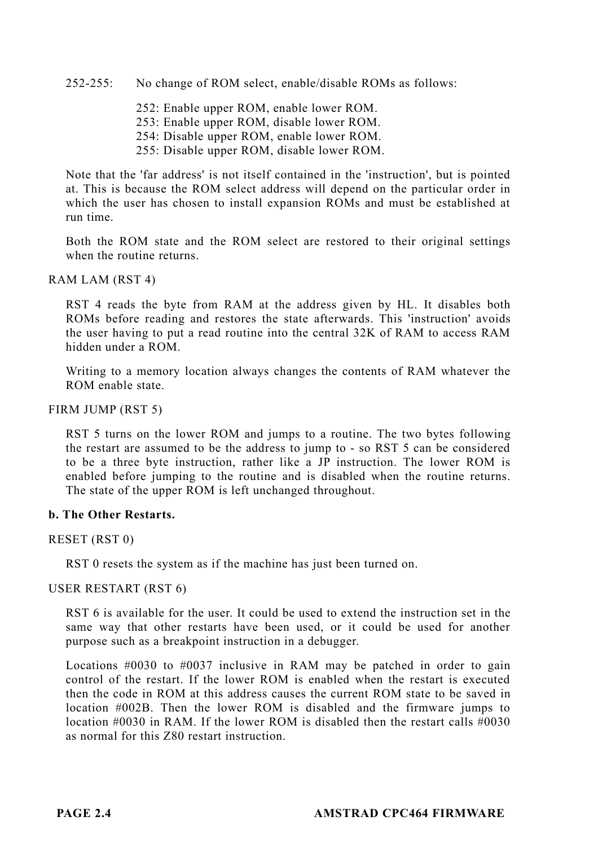252-255: No change of ROM select, enable/disable ROMs as follows:

252: Enable upper ROM, enable lower ROM. 253: Enable upper ROM, disable lower ROM.

254: Disable upper ROM, enable lower ROM.

255: Disable upper ROM, disable lower ROM.

Note that the 'far address' is not itself contained in the 'instruction', but is pointed at. This is because the ROM select address will depend on the particular order in which the user has chosen to install expansion ROMs and must be established at run time.

Both the ROM state and the ROM select are restored to their original settings when the routine returns.

#### RAM LAM (RST 4)

RST 4 reads the byte from RAM at the address given by HL. It disables both ROMs before reading and restores the state afterwards. This 'instruction' avoids the user having to put a read routine into the central 32K of RAM to access RAM hidden under a ROM.

Writing to a memory location always changes the contents of RAM whatever the ROM enable state.

#### FIRM JUMP (RST 5)

RST 5 turns on the lower ROM and jumps to a routine. The two bytes following the restart are assumed to be the address to jump to - so RST 5 can be considered to be a three byte instruction, rather like a JP instruction. The lower ROM is enabled before jumping to the routine and is disabled when the routine returns. The state of the upper ROM is left unchanged throughout.

#### **b. The Other Restarts.**

RESET (RST 0)

RST 0 resets the system as if the machine has just been turned on.

#### USER RESTART (RST 6)

RST 6 is available for the user. It could be used to extend the instruction set in the same way that other restarts have been used, or it could be used for another purpose such as a breakpoint instruction in a debugger.

Locations #0030 to #0037 inclusive in RAM may be patched in order to gain control of the restart. If the lower ROM is enabled when the restart is executed then the code in ROM at this address causes the current ROM state to be saved in location #002B. Then the lower ROM is disabled and the firmware jumps to location  $\text{\#0030}$  in RAM. If the lower ROM is disabled then the restart calls  $\text{\#0030}$ as normal for this Z80 restart instruction.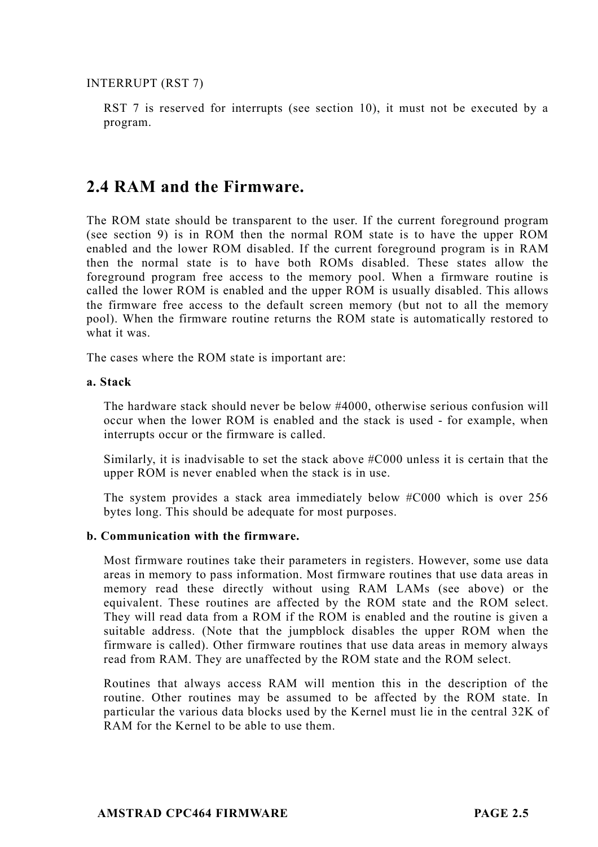INTERRUPT (RST 7)

RST 7 is reserved for interrupts (see section 10), it must not be executed by a program.

# **2.4 RAM and the Firmware.**

The ROM state should be transparent to the user. If the current foreground program (see section 9) is in ROM then the normal ROM state is to have the upper ROM enabled and the lower ROM disabled. If the current foreground program is in RAM then the normal state is to have both ROMs disabled. These states allow the foreground program free access to the memory pool. When a firmware routine is called the lower ROM is enabled and the upper ROM is usually disabled. This allows the firmware free access to the default screen memory (but not to all the memory pool). When the firmware routine returns the ROM state is automatically restored to what it was.

The cases where the ROM state is important are:

### **a. Stack**

The hardware stack should never be below #4000, otherwise serious confusion will occur when the lower ROM is enabled and the stack is used - for example, when interrupts occur or the firmware is called.

Similarly, it is inadvisable to set the stack above #C000 unless it is certain that the upper ROM is never enabled when the stack is in use.

The system provides a stack area immediately below #C000 which is over 256 bytes long. This should be adequate for most purposes.

## **b. Communication with the firmware.**

Most firmware routines take their parameters in registers. However, some use data areas in memory to pass information. Most firmware routines that use data areas in memory read these directly without using RAM LAMs (see above) or the equivalent. These routines are affected by the ROM state and the ROM select. They will read data from a ROM if the ROM is enabled and the routine is given a suitable address. (Note that the jumpblock disables the upper ROM when the firmware is called). Other firmware routines that use data areas in memory always read from RAM. They are unaffected by the ROM state and the ROM select.

Routines that always access RAM will mention this in the description of the routine. Other routines may be assumed to be affected by the ROM state. In particular the various data blocks used by the Kernel must lie in the central 32K of RAM for the Kernel to be able to use them.